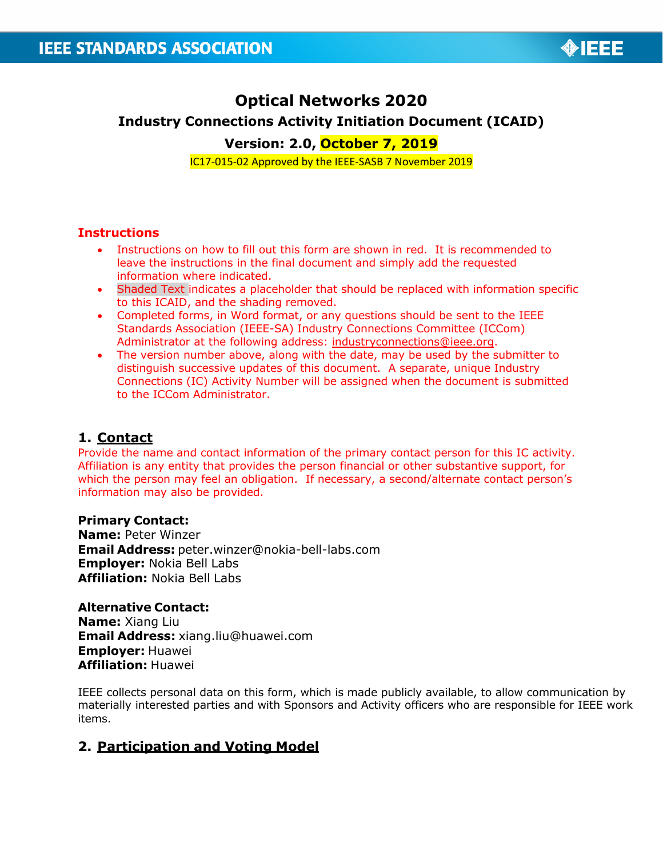

# **Optical Networks 2020 Industry Connections Activity Initiation Document (ICAID) Version: 2.0, October 7, 2019**

IC17-015-02 Approved by the IEEE-SASB 7 November 2019

#### **Instructions**

- Instructions on how to fill out this form are shown in red. It is recommended to leave the instructions in the final document and simply add the requested information where indicated.
- Shaded Text indicates a placeholder that should be replaced with information specific to this ICAID, and the shading removed.
- Completed forms, in Word format, or any questions should be sent to the IEEE Standards Association (IEEE-SA) Industry Connections Committee (ICCom) Administrator at the following address: [industryconnections@ieee.org.](mailto:industryconnections@ieee.org)
- The version number above, along with the date, may be used by the submitter to distinguish successive updates of this document. A separate, unique Industry Connections (IC) Activity Number will be assigned when the document is submitted to the ICCom Administrator.

## **1. Contact**

Provide the name and contact information of the primary contact person for this IC activity. Affiliation is any entity that provides the person financial or other substantive support, for which the person may feel an obligation. If necessary, a second/alternate contact person's information may also be provided.

#### **Primary Contact:**

**Name:** Peter Winzer **Email Address:** [peter.winzer@nokia-bell-labs.com](mailto:peter.winzer@nokia-bell-labs.com) **Employer:** Nokia Bell Labs **Affiliation:** Nokia Bell Labs

#### **Alternative Contact:**

**Name:** Xiang Liu **Email Address:** [xiang.liu@huawei.com](mailto:xiang.liu@huawei.com) **Employer:** Huawei **Affiliation:** Huawei

IEEE collects personal data on this form, which is made publicly available, to allow communication by materially interested parties and with Sponsors and Activity officers who are responsible for IEEE work items.

# **2. Participation and Voting Model**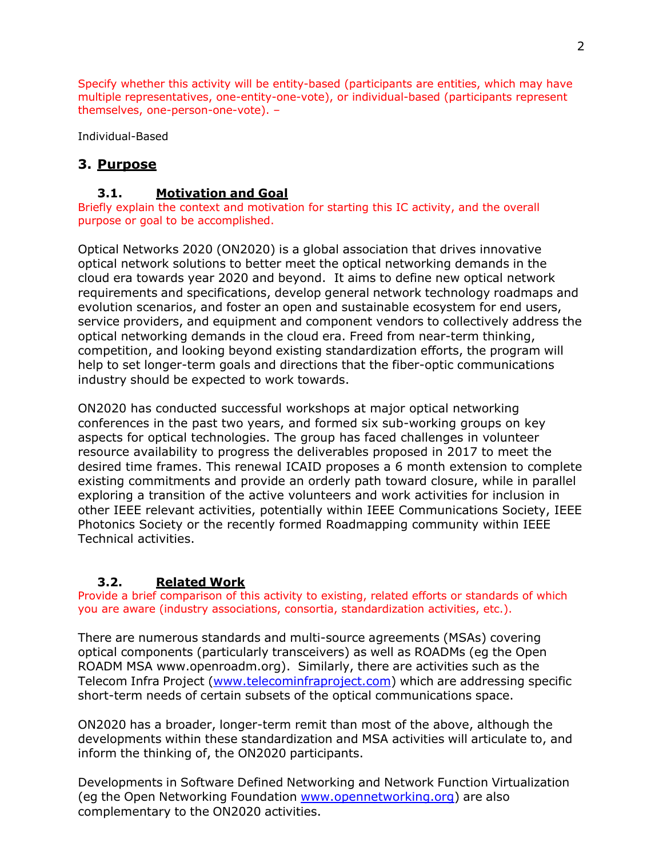Specify whether this activity will be entity-based (participants are entities, which may have multiple representatives, one-entity-one-vote), or individual-based (participants represent themselves, one-person-one-vote). –

Individual-Based

# **3. Purpose**

### **3.1. Motivation and Goal**

Briefly explain the context and motivation for starting this IC activity, and the overall purpose or goal to be accomplished.

Optical Networks 2020 (ON2020) is a global association that drives innovative optical network solutions to better meet the optical networking demands in the cloud era towards year 2020 and beyond. It aims to define new optical network requirements and specifications, develop general network technology roadmaps and evolution scenarios, and foster an open and sustainable ecosystem for end users, service providers, and equipment and component vendors to collectively address the optical networking demands in the cloud era. Freed from near-term thinking, competition, and looking beyond existing standardization efforts, the program will help to set longer-term goals and directions that the fiber-optic communications industry should be expected to work towards.

ON2020 has conducted successful workshops at major optical networking conferences in the past two years, and formed six sub-working groups on key aspects for optical technologies. The group has faced challenges in volunteer resource availability to progress the deliverables proposed in 2017 to meet the desired time frames. This renewal ICAID proposes a 6 month extension to complete existing commitments and provide an orderly path toward closure, while in parallel exploring a transition of the active volunteers and work activities for inclusion in other IEEE relevant activities, potentially within IEEE Communications Society, IEEE Photonics Society or the recently formed Roadmapping community within IEEE Technical activities.

## **3.2. Related Work**

Provide a brief comparison of this activity to existing, related efforts or standards of which you are aware (industry associations, consortia, standardization activities, etc.).

There are numerous standards and multi-source agreements (MSAs) covering optical components (particularly transceivers) as well as ROADMs (eg the Open ROADM MSA www.openroadm.org). Similarly, there are activities such as the Telecom Infra Project [\(www.telecominfraproject.com\)](http://www.telecominfraproject.com/) which are addressing specific short-term needs of certain subsets of the optical communications space.

ON2020 has a broader, longer-term remit than most of the above, although the developments within these standardization and MSA activities will articulate to, and inform the thinking of, the ON2020 participants.

Developments in Software Defined Networking and Network Function Virtualization (eg the Open Networking Foundation [www.opennetworking.org\)](http://www.opennetworking.org/) are also complementary to the ON2020 activities.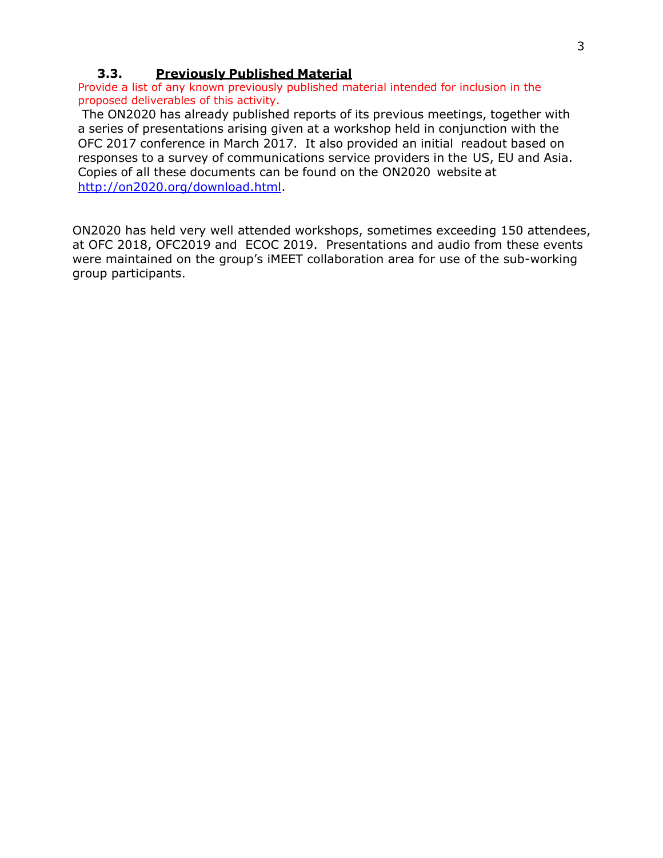#### **3.3. Previously Published Material**

Provide a list of any known previously published material intended for inclusion in the proposed deliverables of this activity.

The ON2020 has already published reports of its previous meetings, together with a series of presentations arising given at a workshop held in conjunction with the OFC 2017 conference in March 2017. It also provided an initial readout based on responses to a survey of communications service providers in the US, EU and Asia. Copies of all these documents can be found on the ON2020 website at [http://on2020.org/download.html.](http://on2020.org/download.html)

ON2020 has held very well attended workshops, sometimes exceeding 150 attendees, at OFC 2018, OFC2019 and ECOC 2019. Presentations and audio from these events were maintained on the group's iMEET collaboration area for use of the sub-working group participants.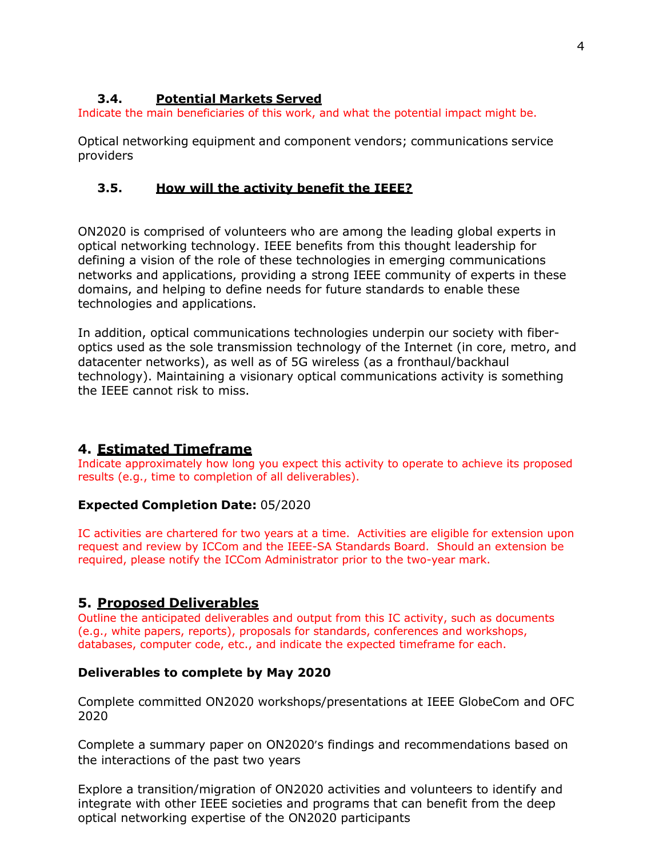### **3.4. Potential Markets Served**

Indicate the main beneficiaries of this work, and what the potential impact might be.

Optical networking equipment and component vendors; communications service providers

#### **3.5. How will the activity benefit the IEEE?**

ON2020 is comprised of volunteers who are among the leading global experts in optical networking technology. IEEE benefits from this thought leadership for defining a vision of the role of these technologies in emerging communications networks and applications, providing a strong IEEE community of experts in these domains, and helping to define needs for future standards to enable these technologies and applications.

In addition, optical communications technologies underpin our society with fiberoptics used as the sole transmission technology of the Internet (in core, metro, and datacenter networks), as well as of 5G wireless (as a fronthaul/backhaul technology). Maintaining a visionary optical communications activity is something the IEEE cannot risk to miss.

## **4. Estimated Timeframe**

Indicate approximately how long you expect this activity to operate to achieve its proposed results (e.g., time to completion of all deliverables).

#### **Expected Completion Date:** 05/2020

IC activities are chartered for two years at a time. Activities are eligible for extension upon request and review by ICCom and the IEEE-SA Standards Board. Should an extension be required, please notify the ICCom Administrator prior to the two-year mark.

## **5. Proposed Deliverables**

Outline the anticipated deliverables and output from this IC activity, such as documents (e.g., white papers, reports), proposals for standards, conferences and workshops, databases, computer code, etc., and indicate the expected timeframe for each.

#### **Deliverables to complete by May 2020**

Complete committed ON2020 workshops/presentations at IEEE GlobeCom and OFC 2020

Complete a summary paper on ON2020's findings and recommendations based on the interactions of the past two years

Explore a transition/migration of ON2020 activities and volunteers to identify and integrate with other IEEE societies and programs that can benefit from the deep optical networking expertise of the ON2020 participants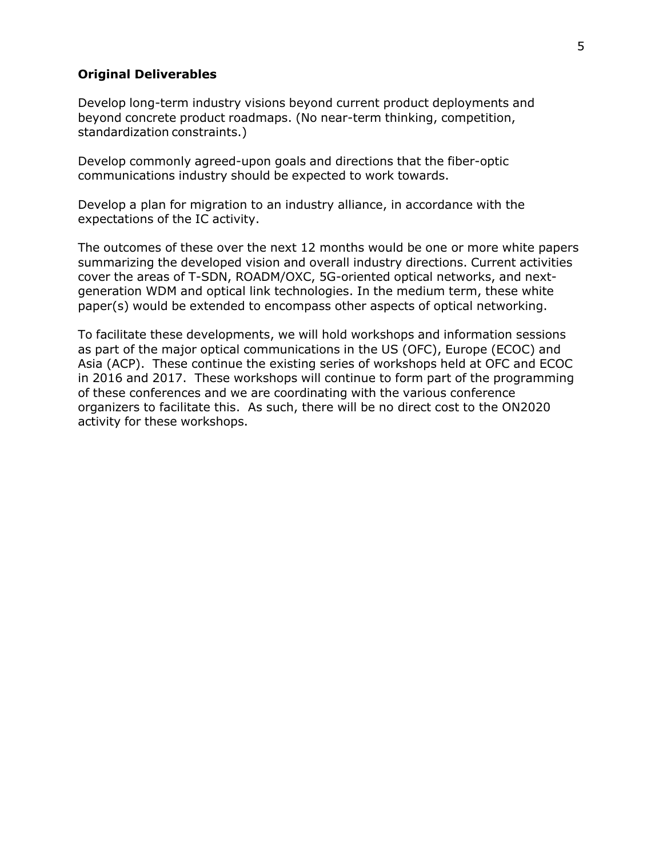#### **Original Deliverables**

Develop long-term industry visions beyond current product deployments and beyond concrete product roadmaps. (No near-term thinking, competition, standardization constraints.)

Develop commonly agreed-upon goals and directions that the fiber-optic communications industry should be expected to work towards.

Develop a plan for migration to an industry alliance, in accordance with the expectations of the IC activity.

The outcomes of these over the next 12 months would be one or more white papers summarizing the developed vision and overall industry directions. Current activities cover the areas of T-SDN, ROADM/OXC, 5G-oriented optical networks, and nextgeneration WDM and optical link technologies. In the medium term, these white paper(s) would be extended to encompass other aspects of optical networking.

To facilitate these developments, we will hold workshops and information sessions as part of the major optical communications in the US (OFC), Europe (ECOC) and Asia (ACP). These continue the existing series of workshops held at OFC and ECOC in 2016 and 2017. These workshops will continue to form part of the programming of these conferences and we are coordinating with the various conference organizers to facilitate this. As such, there will be no direct cost to the ON2020 activity for these workshops.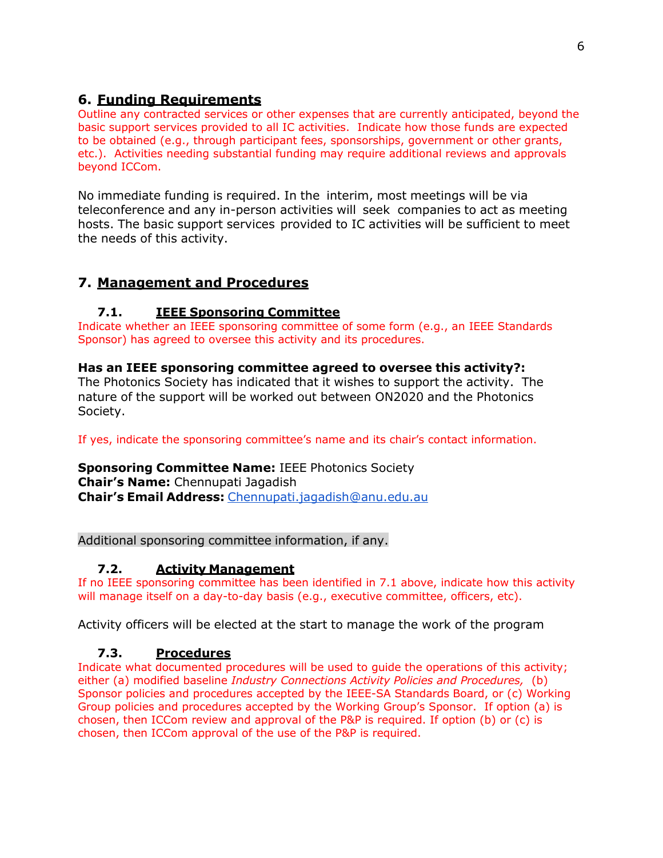# **6. Funding Requirements**

Outline any contracted services or other expenses that are currently anticipated, beyond the basic support services provided to all IC activities. Indicate how those funds are expected to be obtained (e.g., through participant fees, sponsorships, government or other grants, etc.). Activities needing substantial funding may require additional reviews and approvals beyond ICCom.

No immediate funding is required. In the interim, most meetings will be via teleconference and any in-person activities will seek companies to act as meeting hosts. The basic support services provided to IC activities will be sufficient to meet the needs of this activity.

# **7. Management and Procedures**

# **7.1. IEEE Sponsoring Committee**

Indicate whether an IEEE sponsoring committee of some form (e.g., an IEEE Standards Sponsor) has agreed to oversee this activity and its procedures.

# **Has an IEEE sponsoring committee agreed to oversee this activity?:**

The Photonics Society has indicated that it wishes to support the activity. The nature of the support will be worked out between ON2020 and the Photonics Society.

If yes, indicate the sponsoring committee's name and its chair's contact information.

## **Sponsoring Committee Name:** IEEE Photonics Society **Chair's Name:** Chennupati Jagadish **Chair's Email Address:** [Chennupati.jagadish@anu.edu.au](mailto:Chennupati.jagadish@anu.edu.au)

Additional sponsoring committee information, if any.

## **7.2. Activity Management**

If no IEEE sponsoring committee has been identified in 7.1 above, indicate how this activity will manage itself on a day-to-day basis (e.g., executive committee, officers, etc).

Activity officers will be elected at the start to manage the work of the program

## **7.3. Procedures**

Indicate what documented procedures will be used to guide the operations of this activity; either (a) modified baseline *Industry Connections Activity Policies and Procedures,* (b) Sponsor policies and procedures accepted by the IEEE-SA Standards Board, or (c) Working Group policies and procedures accepted by the Working Group's Sponsor. If option (a) is chosen, then ICCom review and approval of the P&P is required. If option (b) or (c) is chosen, then ICCom approval of the use of the P&P is required.